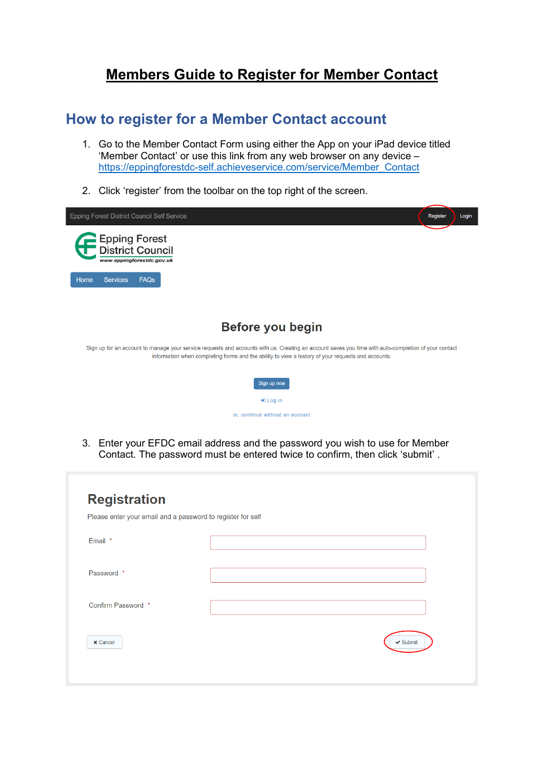## **Members Guide to Register for Member Contact**

## **How to register for a Member Contact account**

- 1. Go to the Member Contact Form using either the App on your iPad device titled 'Member Contact' or use this link from any web browser on any device – [https://eppingforestdc-self.achieveservice.com/service/Member\\_Contact](https://eppingforestdc-self.achieveservice.com/service/Member_Contact)
- 2. Click 'register' from the toolbar on the top right of the screen.



3. Enter your EFDC email address and the password you wish to use for Member Contact. The password must be entered twice to confirm, then click 'submit' .

| <b>Registration</b><br>Please enter your email and a password to register for self |               |
|------------------------------------------------------------------------------------|---------------|
| Email *                                                                            |               |
| Password *                                                                         |               |
| Confirm Password *                                                                 |               |
| <b>x</b> Cancel                                                                    | $\vee$ Submit |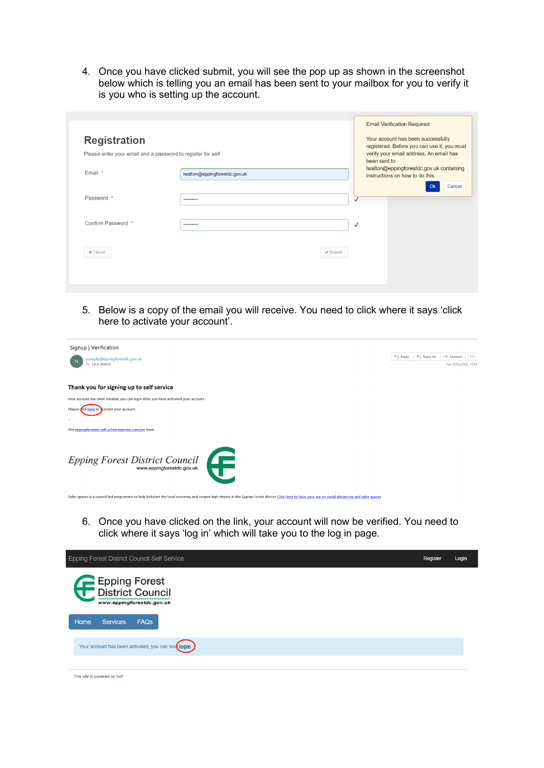4. Once you have clicked submit, you will see the pop up as shown in the screenshot below which is telling you an email has been sent to your mailbox for you to verify it is you who is setting up the account.

| <b>Registration</b><br>Please enter your email and a password to register for self |                               |              |              | <b>Email Verification Required</b><br>Your account has been successfully<br>registered. Before you can use it, you must<br>verify your email address. An email has |
|------------------------------------------------------------------------------------|-------------------------------|--------------|--------------|--------------------------------------------------------------------------------------------------------------------------------------------------------------------|
| Email *                                                                            | lwalton@eppingforestdc.gov.uk |              | been sent to | lwalton@eppingforestdc.gov.uk containing<br>instructions on how to do this.<br>Cancel<br>Ok                                                                        |
| Password *                                                                         |                               | $\checkmark$ |              |                                                                                                                                                                    |
| Confirm Password *                                                                 |                               | √            |              |                                                                                                                                                                    |
| x Cancel                                                                           | $\checkmark$ Submit           |              |              |                                                                                                                                                                    |
|                                                                                    |                               |              |              |                                                                                                                                                                    |

5. Below is a copy of the email you will receive. You need to click where it says 'click here to activate your account'.

| Signup   Verification                                                                                                                                                                               |       |           |                                   |
|-----------------------------------------------------------------------------------------------------------------------------------------------------------------------------------------------------|-------|-----------|-----------------------------------|
| noreply@eppingforestdc.gov.uk                                                                                                                                                                       | Reply | Reply All | $\rightarrow$ Forward<br>$\cdots$ |
| To Louis Walton                                                                                                                                                                                     |       |           | Tue 22/02/2022 11:54              |
|                                                                                                                                                                                                     |       |           |                                   |
| Thank you for signing up to self service                                                                                                                                                            |       |           |                                   |
| Your account has been created, you can login after you have activated your account.                                                                                                                 |       |           |                                   |
| Please of ick here to activate your account.                                                                                                                                                        |       |           |                                   |
| $\sim$                                                                                                                                                                                              |       |           |                                   |
| The eppingforestdc-self.achieveservice.com/en team                                                                                                                                                  |       |           |                                   |
|                                                                                                                                                                                                     |       |           |                                   |
|                                                                                                                                                                                                     |       |           |                                   |
| Epping Forest District Council                                                                                                                                                                      |       |           |                                   |
|                                                                                                                                                                                                     |       |           |                                   |
|                                                                                                                                                                                                     |       |           |                                   |
| Safer spaces is a council-led programme to help kickstart the local economy and reppen high streets in the Epping Forest district Click Here to have your say on social distancing and safer spaces |       |           |                                   |

6. Once you have clicked on the link, your account will now be verified. You need to click where it says 'log in' which will take you to the log in page.